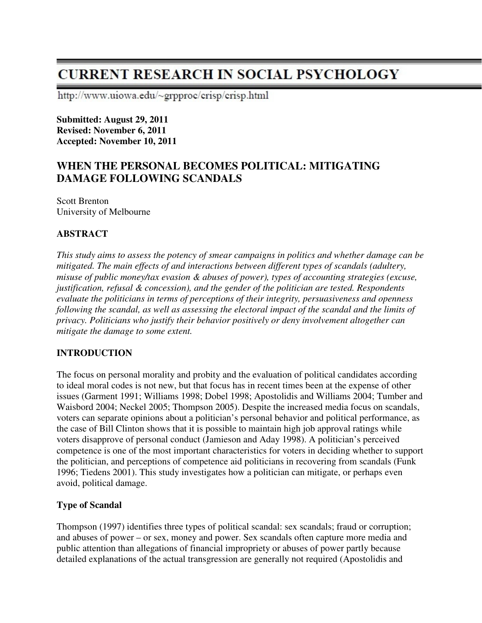# **CURRENT RESEARCH IN SOCIAL PSYCHOLOGY**

http://www.uiowa.edu/~grpproc/crisp/crisp.html

**Submitted: August 29, 2011 Revised: November 6, 2011 Accepted: November 10, 2011** 

# **WHEN THE PERSONAL BECOMES POLITICAL: MITIGATING DAMAGE FOLLOWING SCANDALS**

Scott Brenton University of Melbourne

# **ABSTRACT**

*This study aims to assess the potency of smear campaigns in politics and whether damage can be mitigated. The main effects of and interactions between different types of scandals (adultery, misuse of public money/tax evasion & abuses of power), types of accounting strategies (excuse, justification, refusal & concession), and the gender of the politician are tested. Respondents evaluate the politicians in terms of perceptions of their integrity, persuasiveness and openness following the scandal, as well as assessing the electoral impact of the scandal and the limits of privacy. Politicians who justify their behavior positively or deny involvement altogether can mitigate the damage to some extent.* 

#### **INTRODUCTION**

The focus on personal morality and probity and the evaluation of political candidates according to ideal moral codes is not new, but that focus has in recent times been at the expense of other issues (Garment 1991; Williams 1998; Dobel 1998; Apostolidis and Williams 2004; Tumber and Waisbord 2004; Neckel 2005; Thompson 2005). Despite the increased media focus on scandals, voters can separate opinions about a politician's personal behavior and political performance, as the case of Bill Clinton shows that it is possible to maintain high job approval ratings while voters disapprove of personal conduct (Jamieson and Aday 1998). A politician's perceived competence is one of the most important characteristics for voters in deciding whether to support the politician, and perceptions of competence aid politicians in recovering from scandals (Funk 1996; Tiedens 2001). This study investigates how a politician can mitigate, or perhaps even avoid, political damage.

#### **Type of Scandal**

Thompson (1997) identifies three types of political scandal: sex scandals; fraud or corruption; and abuses of power – or sex, money and power. Sex scandals often capture more media and public attention than allegations of financial impropriety or abuses of power partly because detailed explanations of the actual transgression are generally not required (Apostolidis and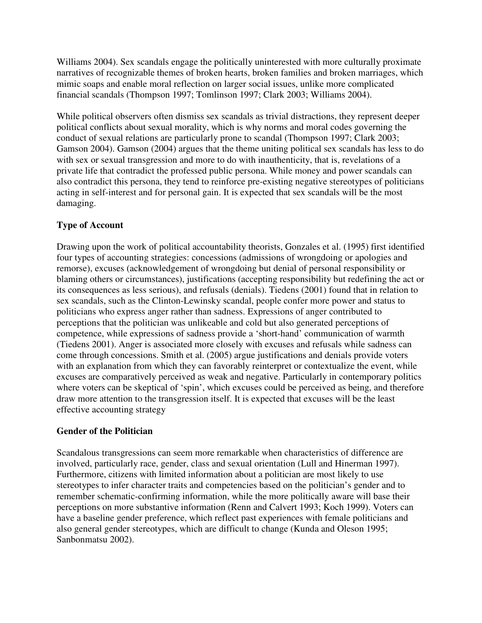Williams 2004). Sex scandals engage the politically uninterested with more culturally proximate narratives of recognizable themes of broken hearts, broken families and broken marriages, which mimic soaps and enable moral reflection on larger social issues, unlike more complicated financial scandals (Thompson 1997; Tomlinson 1997; Clark 2003; Williams 2004).

While political observers often dismiss sex scandals as trivial distractions, they represent deeper political conflicts about sexual morality, which is why norms and moral codes governing the conduct of sexual relations are particularly prone to scandal (Thompson 1997; Clark 2003; Gamson 2004). Gamson (2004) argues that the theme uniting political sex scandals has less to do with sex or sexual transgression and more to do with inauthenticity, that is, revelations of a private life that contradict the professed public persona. While money and power scandals can also contradict this persona, they tend to reinforce pre-existing negative stereotypes of politicians acting in self-interest and for personal gain. It is expected that sex scandals will be the most damaging.

# **Type of Account**

Drawing upon the work of political accountability theorists, Gonzales et al. (1995) first identified four types of accounting strategies: concessions (admissions of wrongdoing or apologies and remorse), excuses (acknowledgement of wrongdoing but denial of personal responsibility or blaming others or circumstances), justifications (accepting responsibility but redefining the act or its consequences as less serious), and refusals (denials). Tiedens (2001) found that in relation to sex scandals, such as the Clinton-Lewinsky scandal, people confer more power and status to politicians who express anger rather than sadness. Expressions of anger contributed to perceptions that the politician was unlikeable and cold but also generated perceptions of competence, while expressions of sadness provide a 'short-hand' communication of warmth (Tiedens 2001). Anger is associated more closely with excuses and refusals while sadness can come through concessions. Smith et al. (2005) argue justifications and denials provide voters with an explanation from which they can favorably reinterpret or contextualize the event, while excuses are comparatively perceived as weak and negative. Particularly in contemporary politics where voters can be skeptical of 'spin', which excuses could be perceived as being, and therefore draw more attention to the transgression itself. It is expected that excuses will be the least effective accounting strategy

#### **Gender of the Politician**

Scandalous transgressions can seem more remarkable when characteristics of difference are involved, particularly race, gender, class and sexual orientation (Lull and Hinerman 1997). Furthermore, citizens with limited information about a politician are most likely to use stereotypes to infer character traits and competencies based on the politician's gender and to remember schematic-confirming information, while the more politically aware will base their perceptions on more substantive information (Renn and Calvert 1993; Koch 1999). Voters can have a baseline gender preference, which reflect past experiences with female politicians and also general gender stereotypes, which are difficult to change (Kunda and Oleson 1995; Sanbonmatsu 2002).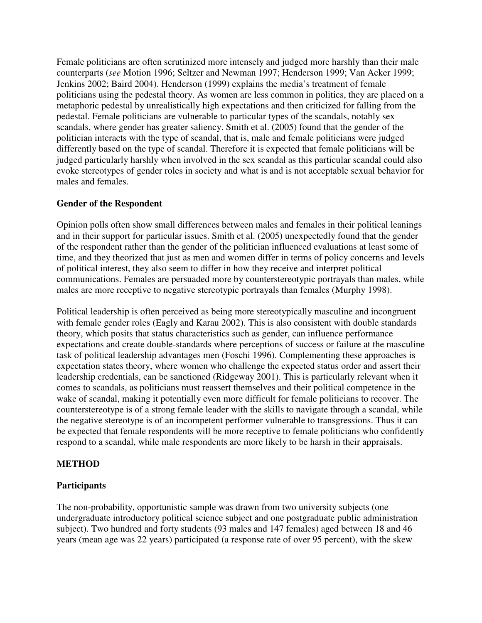Female politicians are often scrutinized more intensely and judged more harshly than their male counterparts (*see* Motion 1996; Seltzer and Newman 1997; Henderson 1999; Van Acker 1999; Jenkins 2002; Baird 2004). Henderson (1999) explains the media's treatment of female politicians using the pedestal theory. As women are less common in politics, they are placed on a metaphoric pedestal by unrealistically high expectations and then criticized for falling from the pedestal. Female politicians are vulnerable to particular types of the scandals, notably sex scandals, where gender has greater saliency. Smith et al. (2005) found that the gender of the politician interacts with the type of scandal, that is, male and female politicians were judged differently based on the type of scandal. Therefore it is expected that female politicians will be judged particularly harshly when involved in the sex scandal as this particular scandal could also evoke stereotypes of gender roles in society and what is and is not acceptable sexual behavior for males and females.

#### **Gender of the Respondent**

Opinion polls often show small differences between males and females in their political leanings and in their support for particular issues. Smith et al. (2005) unexpectedly found that the gender of the respondent rather than the gender of the politician influenced evaluations at least some of time, and they theorized that just as men and women differ in terms of policy concerns and levels of political interest, they also seem to differ in how they receive and interpret political communications. Females are persuaded more by counterstereotypic portrayals than males, while males are more receptive to negative stereotypic portrayals than females (Murphy 1998).

Political leadership is often perceived as being more stereotypically masculine and incongruent with female gender roles (Eagly and Karau 2002). This is also consistent with double standards theory, which posits that status characteristics such as gender, can influence performance expectations and create double-standards where perceptions of success or failure at the masculine task of political leadership advantages men (Foschi 1996). Complementing these approaches is expectation states theory, where women who challenge the expected status order and assert their leadership credentials, can be sanctioned (Ridgeway 2001). This is particularly relevant when it comes to scandals, as politicians must reassert themselves and their political competence in the wake of scandal, making it potentially even more difficult for female politicians to recover. The counterstereotype is of a strong female leader with the skills to navigate through a scandal, while the negative stereotype is of an incompetent performer vulnerable to transgressions. Thus it can be expected that female respondents will be more receptive to female politicians who confidently respond to a scandal, while male respondents are more likely to be harsh in their appraisals.

#### **METHOD**

#### **Participants**

The non-probability, opportunistic sample was drawn from two university subjects (one undergraduate introductory political science subject and one postgraduate public administration subject). Two hundred and forty students (93 males and 147 females) aged between 18 and 46 years (mean age was 22 years) participated (a response rate of over 95 percent), with the skew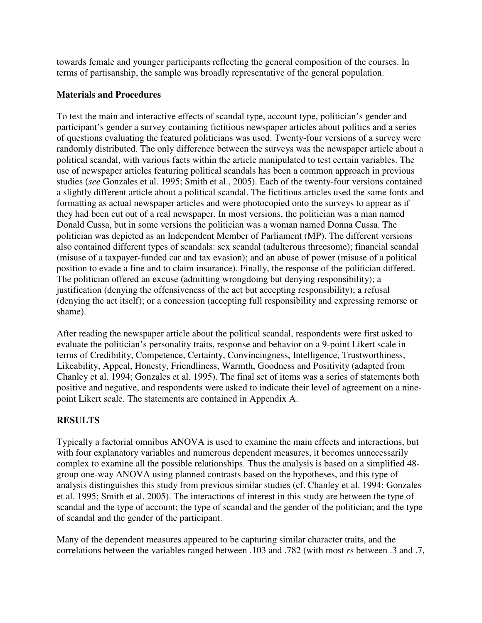towards female and younger participants reflecting the general composition of the courses. In terms of partisanship, the sample was broadly representative of the general population.

#### **Materials and Procedures**

To test the main and interactive effects of scandal type, account type, politician's gender and participant's gender a survey containing fictitious newspaper articles about politics and a series of questions evaluating the featured politicians was used. Twenty-four versions of a survey were randomly distributed. The only difference between the surveys was the newspaper article about a political scandal, with various facts within the article manipulated to test certain variables. The use of newspaper articles featuring political scandals has been a common approach in previous studies (*see* Gonzales et al. 1995; Smith et al., 2005). Each of the twenty-four versions contained a slightly different article about a political scandal. The fictitious articles used the same fonts and formatting as actual newspaper articles and were photocopied onto the surveys to appear as if they had been cut out of a real newspaper. In most versions, the politician was a man named Donald Cussa, but in some versions the politician was a woman named Donna Cussa. The politician was depicted as an Independent Member of Parliament (MP). The different versions also contained different types of scandals: sex scandal (adulterous threesome); financial scandal (misuse of a taxpayer-funded car and tax evasion); and an abuse of power (misuse of a political position to evade a fine and to claim insurance). Finally, the response of the politician differed. The politician offered an excuse (admitting wrongdoing but denying responsibility); a justification (denying the offensiveness of the act but accepting responsibility); a refusal (denying the act itself); or a concession (accepting full responsibility and expressing remorse or shame).

After reading the newspaper article about the political scandal, respondents were first asked to evaluate the politician's personality traits, response and behavior on a 9-point Likert scale in terms of Credibility, Competence, Certainty, Convincingness, Intelligence, Trustworthiness, Likeability, Appeal, Honesty, Friendliness, Warmth, Goodness and Positivity (adapted from Chanley et al. 1994; Gonzales et al. 1995). The final set of items was a series of statements both positive and negative, and respondents were asked to indicate their level of agreement on a ninepoint Likert scale. The statements are contained in Appendix A.

# **RESULTS**

Typically a factorial omnibus ANOVA is used to examine the main effects and interactions, but with four explanatory variables and numerous dependent measures, it becomes unnecessarily complex to examine all the possible relationships. Thus the analysis is based on a simplified 48 group one-way ANOVA using planned contrasts based on the hypotheses, and this type of analysis distinguishes this study from previous similar studies (cf. Chanley et al. 1994; Gonzales et al. 1995; Smith et al. 2005). The interactions of interest in this study are between the type of scandal and the type of account; the type of scandal and the gender of the politician; and the type of scandal and the gender of the participant.

Many of the dependent measures appeared to be capturing similar character traits, and the correlations between the variables ranged between .103 and .782 (with most *r*s between .3 and .7,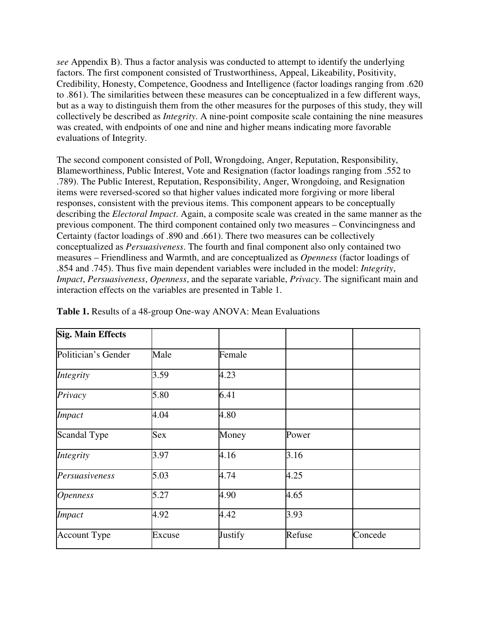*see* Appendix B). Thus a factor analysis was conducted to attempt to identify the underlying factors. The first component consisted of Trustworthiness, Appeal, Likeability, Positivity, Credibility, Honesty, Competence, Goodness and Intelligence (factor loadings ranging from .620 to .861). The similarities between these measures can be conceptualized in a few different ways, but as a way to distinguish them from the other measures for the purposes of this study, they will collectively be described as *Integrity*. A nine-point composite scale containing the nine measures was created, with endpoints of one and nine and higher means indicating more favorable evaluations of Integrity.

The second component consisted of Poll, Wrongdoing, Anger, Reputation, Responsibility, Blameworthiness, Public Interest, Vote and Resignation (factor loadings ranging from .552 to .789). The Public Interest, Reputation, Responsibility, Anger, Wrongdoing, and Resignation items were reversed-scored so that higher values indicated more forgiving or more liberal responses, consistent with the previous items. This component appears to be conceptually describing the *Electoral Impact*. Again, a composite scale was created in the same manner as the previous component. The third component contained only two measures – Convincingness and Certainty (factor loadings of .890 and .661). There two measures can be collectively conceptualized as *Persuasiveness*. The fourth and final component also only contained two measures – Friendliness and Warmth, and are conceptualized as *Openness* (factor loadings of .854 and .745). Thus five main dependent variables were included in the model: *Integrity*, *Impact*, *Persuasiveness*, *Openness*, and the separate variable, *Privacy*. The significant main and interaction effects on the variables are presented in Table 1.

| <b>Sig. Main Effects</b> |            |         |        |         |
|--------------------------|------------|---------|--------|---------|
| Politician's Gender      | Male       | Female  |        |         |
| Integrity                | 3.59       | 4.23    |        |         |
| Privacy                  | 5.80       | 6.41    |        |         |
| Impact                   | 4.04       | 4.80    |        |         |
| Scandal Type             | <b>Sex</b> | Money   | Power  |         |
| Integrity                | 3.97       | 4.16    | 3.16   |         |
| Persuasiveness           | 5.03       | 4.74    | 4.25   |         |
| <i><b>Openness</b></i>   | 5.27       | 4.90    | 4.65   |         |
| <b>Impact</b>            | 4.92       | 4.42    | 3.93   |         |
| <b>Account Type</b>      | Excuse     | Justify | Refuse | Concede |

**Table 1.** Results of a 48-group One-way ANOVA: Mean Evaluations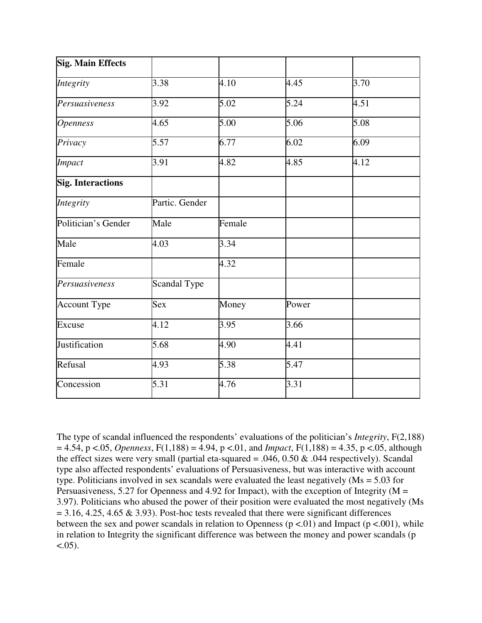| <b>Sig. Main Effects</b> |                |        |       |      |
|--------------------------|----------------|--------|-------|------|
| Integrity                | 3.38           | 4.10   | 4.45  | 3.70 |
| Persuasiveness           | 3.92           | 5.02   | 5.24  | 4.51 |
| <b>Openness</b>          | 4.65           | 5.00   | 5.06  | 5.08 |
| Privacy                  | 5.57           | 6.77   | 6.02  | 6.09 |
| Impact                   | 3.91           | 4.82   | 4.85  | 4.12 |
| <b>Sig. Interactions</b> |                |        |       |      |
| Integrity                | Partic. Gender |        |       |      |
| Politician's Gender      | Male           | Female |       |      |
| Male                     | 4.03           | 3.34   |       |      |
| Female                   |                | 4.32   |       |      |
| Persuasiveness           | Scandal Type   |        |       |      |
| <b>Account Type</b>      | Sex            | Money  | Power |      |
| Excuse                   | 4.12           | 3.95   | 3.66  |      |
| Justification            | 5.68           | 4.90   | 4.41  |      |
| Refusal                  | 4.93           | 5.38   | 5.47  |      |
| Concession               | 5.31           | 4.76   | 3.31  |      |

The type of scandal influenced the respondents' evaluations of the politician's *Integrity*, F(2,188)  $= 4.54$ , p <.05, *Openness*, F(1,188) = 4.94, p <.01, and *Impact*, F(1,188) = 4.35, p <.05, although the effect sizes were very small (partial eta-squared = .046, 0.50  $\&$  .044 respectively). Scandal type also affected respondents' evaluations of Persuasiveness, but was interactive with account type. Politicians involved in sex scandals were evaluated the least negatively ( $Ms = 5.03$  for Persuasiveness, 5.27 for Openness and 4.92 for Impact), with the exception of Integrity ( $M =$ 3.97). Politicians who abused the power of their position were evaluated the most negatively (Ms  $= 3.16, 4.25, 4.65 \& 3.93$ ). Post-hoc tests revealed that there were significant differences between the sex and power scandals in relation to Openness ( $p \lt 0.01$ ) and Impact ( $p \lt 0.001$ ), while in relation to Integrity the significant difference was between the money and power scandals (p  $< .05$ ).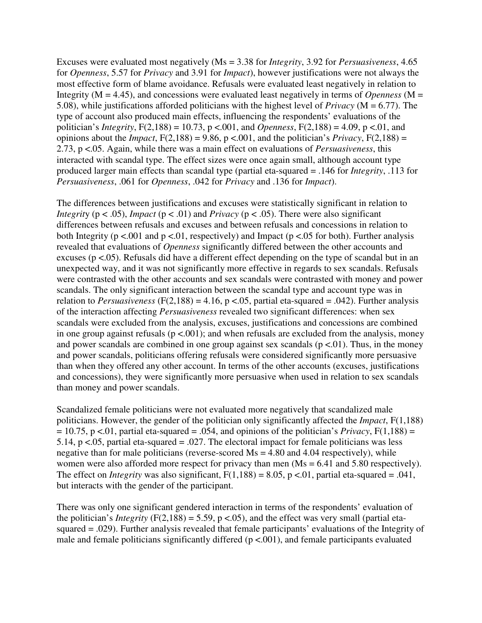Excuses were evaluated most negatively (Ms = 3.38 for *Integrity*, 3.92 for *Persuasiveness*, 4.65 for *Openness*, 5.57 for *Privacy* and 3.91 for *Impact*), however justifications were not always the most effective form of blame avoidance. Refusals were evaluated least negatively in relation to Integrity ( $M = 4.45$ ), and concessions were evaluated least negatively in terms of *Openness* ( $M =$ 5.08), while justifications afforded politicians with the highest level of *Privacy* (M = 6.77). The type of account also produced main effects, influencing the respondents' evaluations of the politician's *Integrity*,  $F(2,188) = 10.73$ ,  $p < .001$ , and *Openness*,  $F(2,188) = 4.09$ ,  $p < .01$ , and opinions about the *Impact*,  $F(2,188) = 9.86$ ,  $p < .001$ , and the politician's *Privacy*,  $F(2,188) =$ 2.73, p <.05. Again, while there was a main effect on evaluations of *Persuasiveness*, this interacted with scandal type. The effect sizes were once again small, although account type produced larger main effects than scandal type (partial eta-squared = .146 for *Integrity*, .113 for *Persuasiveness*, .061 for *Openness*, .042 for *Privacy* and .136 for *Impact*).

The differences between justifications and excuses were statistically significant in relation to *Integrity* ( $p < .05$ ), *Impact* ( $p < .01$ ) and *Privacy* ( $p < .05$ ). There were also significant differences between refusals and excuses and between refusals and concessions in relation to both Integrity ( $p < .001$  and  $p < .01$ , respectively) and Impact ( $p < .05$  for both). Further analysis revealed that evaluations of *Openness* significantly differed between the other accounts and excuses ( $p < .05$ ). Refusals did have a different effect depending on the type of scandal but in an unexpected way, and it was not significantly more effective in regards to sex scandals. Refusals were contrasted with the other accounts and sex scandals were contrasted with money and power scandals. The only significant interaction between the scandal type and account type was in relation to *Persuasiveness* ( $F(2,188) = 4.16$ ,  $p < .05$ , partial eta-squared = .042). Further analysis of the interaction affecting *Persuasiveness* revealed two significant differences: when sex scandals were excluded from the analysis, excuses, justifications and concessions are combined in one group against refusals ( $p < .001$ ); and when refusals are excluded from the analysis, money and power scandals are combined in one group against sex scandals ( $p < 01$ ). Thus, in the money and power scandals, politicians offering refusals were considered significantly more persuasive than when they offered any other account. In terms of the other accounts (excuses, justifications and concessions), they were significantly more persuasive when used in relation to sex scandals than money and power scandals.

Scandalized female politicians were not evaluated more negatively that scandalized male politicians. However, the gender of the politician only significantly affected the *Impact*, F(1,188)  $= 10.75$ , p <.01, partial eta-squared = .054, and opinions of the politician's *Privacy*, F(1,188) = 5.14,  $p < 0.05$ , partial eta-squared = .027. The electoral impact for female politicians was less negative than for male politicians (reverse-scored  $Ms = 4.80$  and  $4.04$  respectively), while women were also afforded more respect for privacy than men (Ms = 6.41 and 5.80 respectively). The effect on *Integrity* was also significant,  $F(1,188) = 8.05$ ,  $p < 0.01$ , partial eta-squared = .041, but interacts with the gender of the participant.

There was only one significant gendered interaction in terms of the respondents' evaluation of the politician's *Integrity* ( $F(2,188) = 5.59$ ,  $p < .05$ ), and the effect was very small (partial etasquared = .029). Further analysis revealed that female participants' evaluations of the Integrity of male and female politicians significantly differed  $(p < .001)$ , and female participants evaluated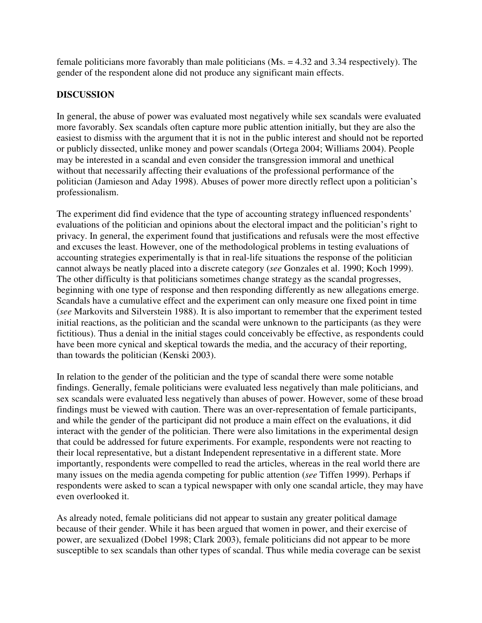female politicians more favorably than male politicians (Ms. = 4.32 and 3.34 respectively). The gender of the respondent alone did not produce any significant main effects.

# **DISCUSSION**

In general, the abuse of power was evaluated most negatively while sex scandals were evaluated more favorably. Sex scandals often capture more public attention initially, but they are also the easiest to dismiss with the argument that it is not in the public interest and should not be reported or publicly dissected, unlike money and power scandals (Ortega 2004; Williams 2004). People may be interested in a scandal and even consider the transgression immoral and unethical without that necessarily affecting their evaluations of the professional performance of the politician (Jamieson and Aday 1998). Abuses of power more directly reflect upon a politician's professionalism.

The experiment did find evidence that the type of accounting strategy influenced respondents' evaluations of the politician and opinions about the electoral impact and the politician's right to privacy. In general, the experiment found that justifications and refusals were the most effective and excuses the least. However, one of the methodological problems in testing evaluations of accounting strategies experimentally is that in real-life situations the response of the politician cannot always be neatly placed into a discrete category (*see* Gonzales et al. 1990; Koch 1999). The other difficulty is that politicians sometimes change strategy as the scandal progresses, beginning with one type of response and then responding differently as new allegations emerge. Scandals have a cumulative effect and the experiment can only measure one fixed point in time (*see* Markovits and Silverstein 1988). It is also important to remember that the experiment tested initial reactions, as the politician and the scandal were unknown to the participants (as they were fictitious). Thus a denial in the initial stages could conceivably be effective, as respondents could have been more cynical and skeptical towards the media, and the accuracy of their reporting, than towards the politician (Kenski 2003).

In relation to the gender of the politician and the type of scandal there were some notable findings. Generally, female politicians were evaluated less negatively than male politicians, and sex scandals were evaluated less negatively than abuses of power. However, some of these broad findings must be viewed with caution. There was an over-representation of female participants, and while the gender of the participant did not produce a main effect on the evaluations, it did interact with the gender of the politician. There were also limitations in the experimental design that could be addressed for future experiments. For example, respondents were not reacting to their local representative, but a distant Independent representative in a different state. More importantly, respondents were compelled to read the articles, whereas in the real world there are many issues on the media agenda competing for public attention (*see* Tiffen 1999). Perhaps if respondents were asked to scan a typical newspaper with only one scandal article, they may have even overlooked it.

As already noted, female politicians did not appear to sustain any greater political damage because of their gender. While it has been argued that women in power, and their exercise of power, are sexualized (Dobel 1998; Clark 2003), female politicians did not appear to be more susceptible to sex scandals than other types of scandal. Thus while media coverage can be sexist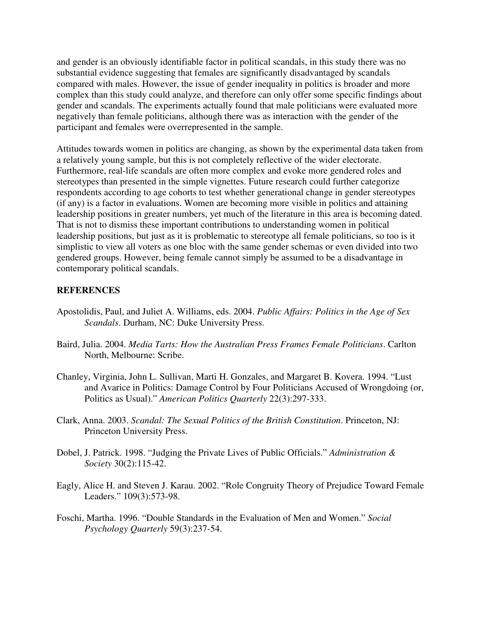and gender is an obviously identifiable factor in political scandals, in this study there was no substantial evidence suggesting that females are significantly disadvantaged by scandals compared with males. However, the issue of gender inequality in politics is broader and more complex than this study could analyze, and therefore can only offer some specific findings about gender and scandals. The experiments actually found that male politicians were evaluated more negatively than female politicians, although there was as interaction with the gender of the participant and females were overrepresented in the sample.

Attitudes towards women in politics are changing, as shown by the experimental data taken from a relatively young sample, but this is not completely reflective of the wider electorate. Furthermore, real-life scandals are often more complex and evoke more gendered roles and stereotypes than presented in the simple vignettes. Future research could further categorize respondents according to age cohorts to test whether generational change in gender stereotypes (if any) is a factor in evaluations. Women are becoming more visible in politics and attaining leadership positions in greater numbers, yet much of the literature in this area is becoming dated. That is not to dismiss these important contributions to understanding women in political leadership positions, but just as it is problematic to stereotype all female politicians, so too is it simplistic to view all voters as one bloc with the same gender schemas or even divided into two gendered groups. However, being female cannot simply be assumed to be a disadvantage in contemporary political scandals.

#### **REFERENCES**

- Apostolidis, Paul, and Juliet A. Williams, eds. 2004. *Public Affairs: Politics in the Age of Sex Scandals*. Durham, NC: Duke University Press.
- Baird, Julia. 2004. *Media Tarts: How the Australian Press Frames Female Politicians*. Carlton North, Melbourne: Scribe.
- Chanley, Virginia, John L. Sullivan, Marti H. Gonzales, and Margaret B. Kovera. 1994. "Lust and Avarice in Politics: Damage Control by Four Politicians Accused of Wrongdoing (or, Politics as Usual)." *American Politics Quarterly* 22(3):297-333.
- Clark, Anna. 2003. *Scandal: The Sexual Politics of the British Constitution*. Princeton, NJ: Princeton University Press.
- Dobel, J. Patrick. 1998. "Judging the Private Lives of Public Officials." *Administration & Society* 30(2):115-42.
- Eagly, Alice H. and Steven J. Karau. 2002. "Role Congruity Theory of Prejudice Toward Female Leaders." 109(3):573-98.
- Foschi, Martha. 1996. "Double Standards in the Evaluation of Men and Women." *Social Psychology Quarterly* 59(3):237-54.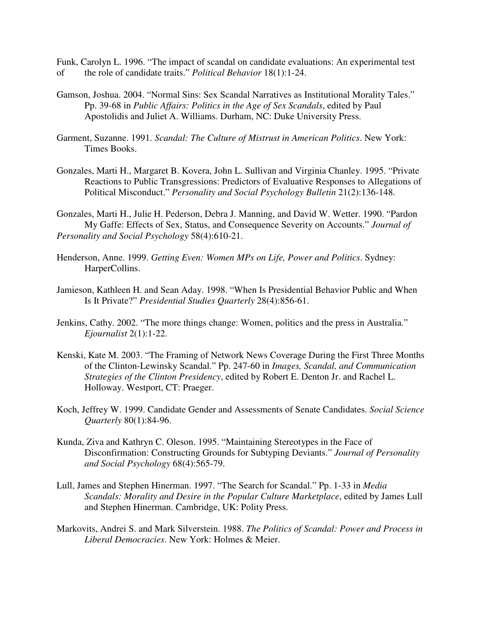Funk, Carolyn L. 1996. "The impact of scandal on candidate evaluations: An experimental test of the role of candidate traits." *Political Behavior* 18(1):1-24.

- Gamson, Joshua. 2004. "Normal Sins: Sex Scandal Narratives as Institutional Morality Tales." Pp. 39-68 in *Public Affairs: Politics in the Age of Sex Scandals*, edited by Paul Apostolidis and Juliet A. Williams. Durham, NC: Duke University Press.
- Garment, Suzanne. 1991. *Scandal: The Culture of Mistrust in American Politics*. New York: Times Books.
- Gonzales, Marti H., Margaret B. Kovera, John L. Sullivan and Virginia Chanley. 1995. "Private Reactions to Public Transgressions: Predictors of Evaluative Responses to Allegations of Political Misconduct." *Personality and Social Psychology Bulletin* 21(2):136-148.

Gonzales, Marti H., Julie H. Pederson, Debra J. Manning, and David W. Wetter. 1990. "Pardon My Gaffe: Effects of Sex, Status, and Consequence Severity on Accounts." *Journal of Personality and Social Psychology* 58(4):610-21.

- Henderson, Anne. 1999. *Getting Even: Women MPs on Life, Power and Politics*. Sydney: HarperCollins.
- Jamieson, Kathleen H. and Sean Aday. 1998. "When Is Presidential Behavior Public and When Is It Private?" *Presidential Studies Quarterly* 28(4):856-61.
- Jenkins, Cathy. 2002. "The more things change: Women, politics and the press in Australia." *Ejournalist* 2(1):1-22.
- Kenski, Kate M. 2003. "The Framing of Network News Coverage During the First Three Months of the Clinton-Lewinsky Scandal." Pp. 247-60 in *Images, Scandal, and Communication Strategies of the Clinton Presidency*, edited by Robert E. Denton Jr. and Rachel L. Holloway. Westport, CT: Praeger.
- Koch, Jeffrey W. 1999. Candidate Gender and Assessments of Senate Candidates. *Social Science Quarterly* 80(1):84-96.
- Kunda, Ziva and Kathryn C. Oleson. 1995. "Maintaining Stereotypes in the Face of Disconfirmation: Constructing Grounds for Subtyping Deviants." *Journal of Personality and Social Psychology* 68(4):565-79.
- Lull, James and Stephen Hinerman. 1997. "The Search for Scandal." Pp. 1-33 in *Media Scandals: Morality and Desire in the Popular Culture Marketplace*, edited by James Lull and Stephen Hinerman. Cambridge, UK: Polity Press.
- Markovits, Andrei S. and Mark Silverstein. 1988. *The Politics of Scandal: Power and Process in Liberal Democracies*. New York: Holmes & Meier.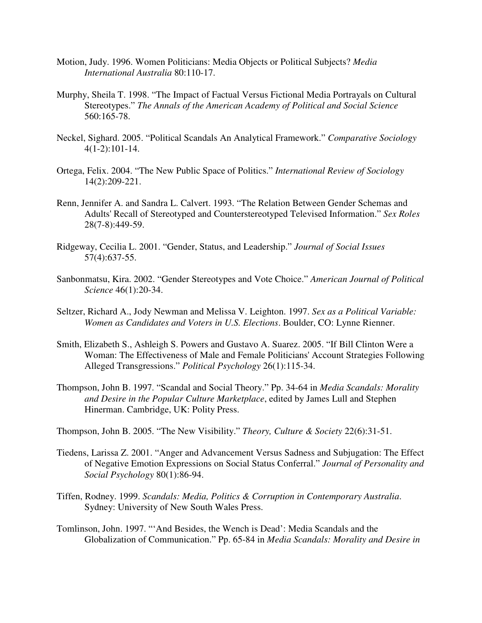- Motion, Judy. 1996. Women Politicians: Media Objects or Political Subjects? *Media International Australia* 80:110-17.
- Murphy, Sheila T. 1998. "The Impact of Factual Versus Fictional Media Portrayals on Cultural Stereotypes." *The Annals of the American Academy of Political and Social Science* 560:165-78.
- Neckel, Sighard. 2005. "Political Scandals An Analytical Framework." *Comparative Sociology* 4(1-2):101-14.
- Ortega, Felix. 2004. "The New Public Space of Politics." *International Review of Sociology* 14(2):209-221.
- Renn, Jennifer A. and Sandra L. Calvert. 1993. "The Relation Between Gender Schemas and Adults' Recall of Stereotyped and Counterstereotyped Televised Information." *Sex Roles* 28(7-8):449-59.
- Ridgeway, Cecilia L. 2001. "Gender, Status, and Leadership." *Journal of Social Issues* 57(4):637-55.
- Sanbonmatsu, Kira. 2002. "Gender Stereotypes and Vote Choice." *American Journal of Political Science* 46(1):20-34.
- Seltzer, Richard A., Jody Newman and Melissa V. Leighton. 1997. *Sex as a Political Variable: Women as Candidates and Voters in U.S. Elections*. Boulder, CO: Lynne Rienner.
- Smith, Elizabeth S., Ashleigh S. Powers and Gustavo A. Suarez. 2005. "If Bill Clinton Were a Woman: The Effectiveness of Male and Female Politicians' Account Strategies Following Alleged Transgressions." *Political Psychology* 26(1):115-34.
- Thompson, John B. 1997. "Scandal and Social Theory." Pp. 34-64 in *Media Scandals: Morality and Desire in the Popular Culture Marketplace*, edited by James Lull and Stephen Hinerman. Cambridge, UK: Polity Press.

Thompson, John B. 2005. "The New Visibility." *Theory, Culture & Society* 22(6):31-51.

- Tiedens, Larissa Z. 2001. "Anger and Advancement Versus Sadness and Subjugation: The Effect of Negative Emotion Expressions on Social Status Conferral." *Journal of Personality and Social Psychology* 80(1):86-94.
- Tiffen, Rodney. 1999. *Scandals: Media, Politics & Corruption in Contemporary Australia*. Sydney: University of New South Wales Press.
- Tomlinson, John. 1997. "'And Besides, the Wench is Dead': Media Scandals and the Globalization of Communication." Pp. 65-84 in *Media Scandals: Morality and Desire in*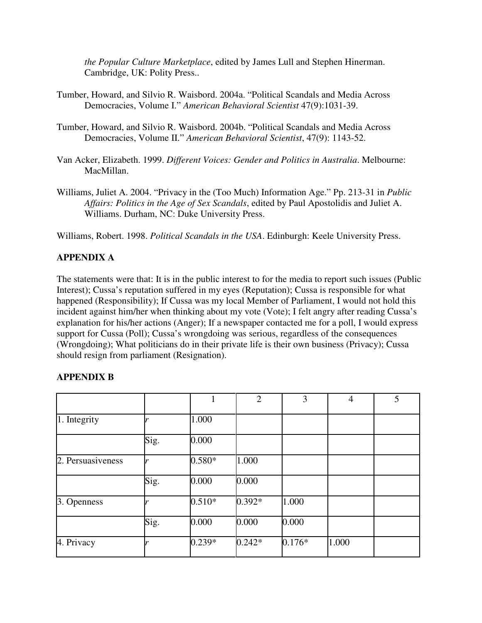*the Popular Culture Marketplace*, edited by James Lull and Stephen Hinerman. Cambridge, UK: Polity Press..

- Tumber, Howard, and Silvio R. Waisbord. 2004a. "Political Scandals and Media Across Democracies, Volume I." *American Behavioral Scientist* 47(9):1031-39.
- Tumber, Howard, and Silvio R. Waisbord. 2004b. "Political Scandals and Media Across Democracies, Volume II." *American Behavioral Scientist*, 47(9): 1143-52.
- Van Acker, Elizabeth. 1999. *Different Voices: Gender and Politics in Australia*. Melbourne: MacMillan.
- Williams, Juliet A. 2004. "Privacy in the (Too Much) Information Age." Pp. 213-31 in *Public Affairs: Politics in the Age of Sex Scandals*, edited by Paul Apostolidis and Juliet A. Williams. Durham, NC: Duke University Press.

Williams, Robert. 1998. *Political Scandals in the USA*. Edinburgh: Keele University Press.

# **APPENDIX A**

The statements were that: It is in the public interest to for the media to report such issues (Public Interest); Cussa's reputation suffered in my eyes (Reputation); Cussa is responsible for what happened (Responsibility); If Cussa was my local Member of Parliament, I would not hold this incident against him/her when thinking about my vote (Vote); I felt angry after reading Cussa's explanation for his/her actions (Anger); If a newspaper contacted me for a poll, I would express support for Cussa (Poll); Cussa's wrongdoing was serious, regardless of the consequences (Wrongdoing); What politicians do in their private life is their own business (Privacy); Cussa should resign from parliament (Resignation).

#### **APPENDIX B**

|                   |      |          | $\overline{2}$ | 3        | $\overline{4}$ | 5 |
|-------------------|------|----------|----------------|----------|----------------|---|
| 1. Integrity      |      | 1.000    |                |          |                |   |
|                   | Sig. | 0.000    |                |          |                |   |
| 2. Persuasiveness |      | $0.580*$ | 1.000          |          |                |   |
|                   | Sig. | 0.000    | 0.000          |          |                |   |
| 3. Openness       |      | $0.510*$ | $0.392*$       | 1.000    |                |   |
|                   | Sig. | 0.000    | 0.000          | 0.000    |                |   |
| 4. Privacy        |      | $0.239*$ | $0.242*$       | $0.176*$ | 1.000          |   |